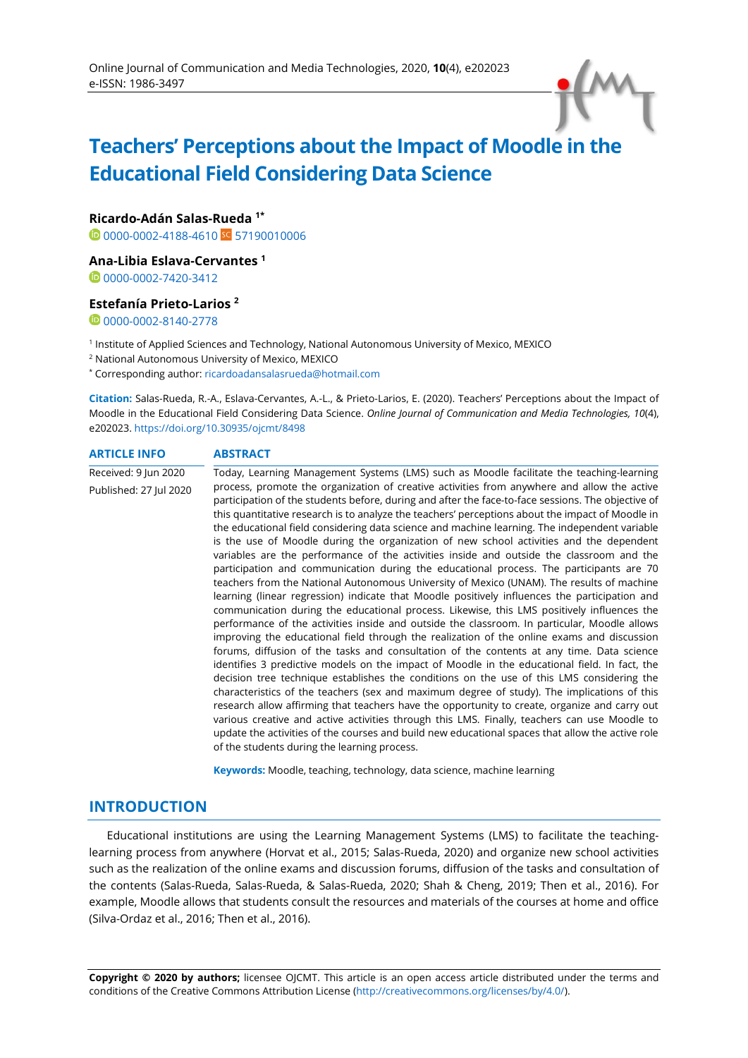# **Teachers' Perceptions about the Impact of Moodle in the Educational Field Considering Data Science**

**Ricardo-Adán Salas-Rueda 1\***

**1**[0000-0002-4188-4610](https://orcid.org/0000-0002-4188-4610) SC [57190010006](https://www.scopus.com/authid/detail.uri?authorId=57190010006)

## **Ana-Libia Eslava-Cervantes <sup>1</sup>**

0[0000-0002-7420-3412](https://orcid.org/0000-0002-7420-3412)

#### **Estefanía Prieto-Larios <sup>2</sup>**

 $0$ [0000-0002-8140-2778](https://orcid.org/0000-0002-8140-2778)

1 Institute of Applied Sciences and Technology, National Autonomous University of Mexico, MEXICO

<sup>2</sup> National Autonomous University of Mexico, MEXICO

\* Corresponding author: [ricardoadansalasrueda@hotmail.com](mailto:ricardoadansalasrueda@hotmail.com)

**Citation:** Salas-Rueda, R.-A., Eslava-Cervantes, A.-L., & Prieto-Larios, E. (2020). Teachers' Perceptions about the Impact of Moodle in the Educational Field Considering Data Science. *Online Journal of Communication and Media Technologies, 10*(4), e202023. <https://doi.org/10.30935/ojcmt/8498>

**ARTICLE INFO ABSTRACT** Received: 9 Jun 2020 Published: 27 Jul 2020 Today, Learning Management Systems (LMS) such as Moodle facilitate the teaching-learning process, promote the organization of creative activities from anywhere and allow the active participation of the students before, during and after the face-to-face sessions. The objective of this quantitative research is to analyze the teachers' perceptions about the impact of Moodle in the educational field considering data science and machine learning. The independent variable is the use of Moodle during the organization of new school activities and the dependent variables are the performance of the activities inside and outside the classroom and the participation and communication during the educational process. The participants are 70 teachers from the National Autonomous University of Mexico (UNAM). The results of machine learning (linear regression) indicate that Moodle positively influences the participation and communication during the educational process. Likewise, this LMS positively influences the performance of the activities inside and outside the classroom. In particular, Moodle allows improving the educational field through the realization of the online exams and discussion forums, diffusion of the tasks and consultation of the contents at any time. Data science identifies 3 predictive models on the impact of Moodle in the educational field. In fact, the decision tree technique establishes the conditions on the use of this LMS considering the characteristics of the teachers (sex and maximum degree of study). The implications of this research allow affirming that teachers have the opportunity to create, organize and carry out various creative and active activities through this LMS. Finally, teachers can use Moodle to update the activities of the courses and build new educational spaces that allow the active role of the students during the learning process.

**Keywords:** Moodle, teaching, technology, data science, machine learning

# **INTRODUCTION**

Educational institutions are using the Learning Management Systems (LMS) to facilitate the teachinglearning process from anywhere (Horvat et al., 2015; Salas-Rueda, 2020) and organize new school activities such as the realization of the online exams and discussion forums, diffusion of the tasks and consultation of the contents (Salas-Rueda, Salas-Rueda, & Salas-Rueda, 2020; Shah & Cheng, 2019; Then et al., 2016). For example, Moodle allows that students consult the resources and materials of the courses at home and office (Silva-Ordaz et al., 2016; Then et al., 2016).

**Copyright © 2020 by authors;** licensee OJCMT. This article is an open access article distributed under the terms and conditions of the Creative Commons Attribution License [\(http://creativecommons.org/licenses/by/4.0/\).](http://creativecommons.org/licenses/by/4.0/)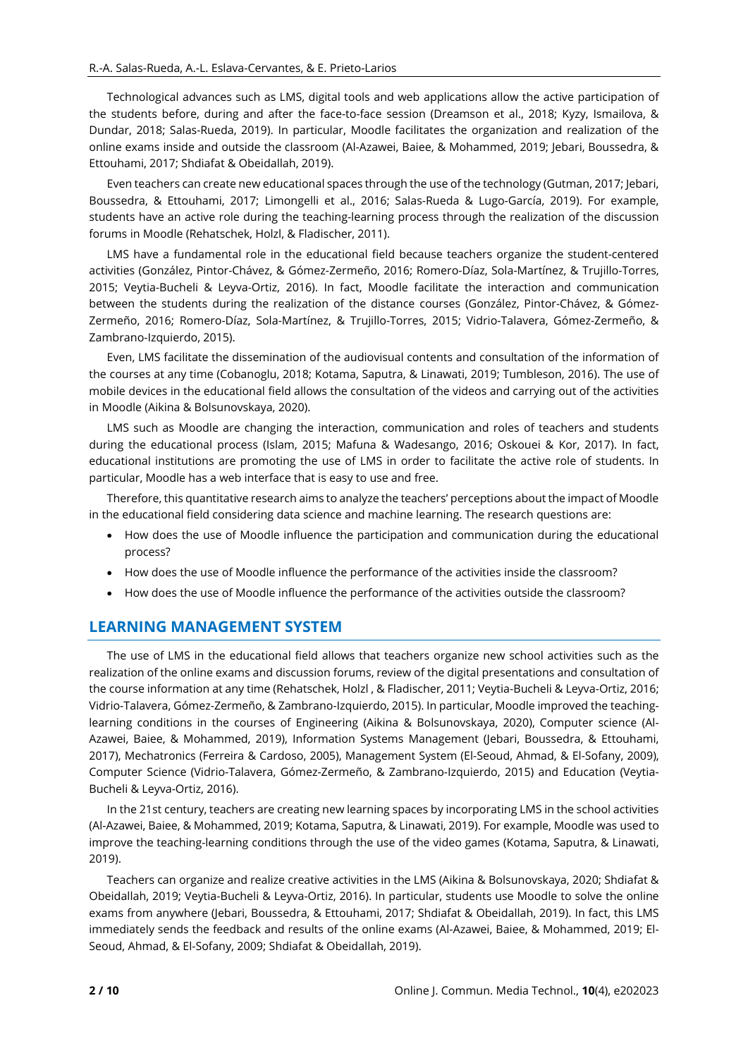Technological advances such as LMS, digital tools and web applications allow the active participation of the students before, during and after the face-to-face session (Dreamson et al., 2018; Kyzy, Ismailova, & Dundar, 2018; Salas-Rueda, 2019). In particular, Moodle facilitates the organization and realization of the online exams inside and outside the classroom (Al-Azawei, Baiee, & Mohammed, 2019; Jebari, Boussedra, & Ettouhami, 2017; Shdiafat & Obeidallah, 2019).

Even teachers can create new educational spaces through the use of the technology (Gutman, 2017; Jebari, Boussedra, & Ettouhami, 2017; Limongelli et al., 2016; Salas-Rueda & Lugo-García, 2019). For example, students have an active role during the teaching-learning process through the realization of the discussion forums in Moodle (Rehatschek, Holzl, & Fladischer, 2011).

LMS have a fundamental role in the educational field because teachers organize the student-centered activities (González, Pintor-Chávez, & Gómez-Zermeño, 2016; Romero-Díaz, Sola-Martínez, & Trujillo-Torres, 2015; Veytia-Bucheli & Leyva-Ortiz, 2016). In fact, Moodle facilitate the interaction and communication between the students during the realization of the distance courses (González, Pintor-Chávez, & Gómez-Zermeño, 2016; Romero-Díaz, Sola-Martínez, & Trujillo-Torres, 2015; Vidrio-Talavera, Gómez-Zermeño, & Zambrano-Izquierdo, 2015).

Even, LMS facilitate the dissemination of the audiovisual contents and consultation of the information of the courses at any time (Cobanoglu, 2018; Kotama, Saputra, & Linawati, 2019; Tumbleson, 2016). The use of mobile devices in the educational field allows the consultation of the videos and carrying out of the activities in Moodle (Aikina & Bolsunovskaya, 2020).

LMS such as Moodle are changing the interaction, communication and roles of teachers and students during the educational process (Islam, 2015; Mafuna & Wadesango, 2016; Oskouei & Kor, 2017). In fact, educational institutions are promoting the use of LMS in order to facilitate the active role of students. In particular, Moodle has a web interface that is easy to use and free.

Therefore, this quantitative research aims to analyze the teachers' perceptions about the impact of Moodle in the educational field considering data science and machine learning. The research questions are:

- How does the use of Moodle influence the participation and communication during the educational process?
- How does the use of Moodle influence the performance of the activities inside the classroom?
- How does the use of Moodle influence the performance of the activities outside the classroom?

# **LEARNING MANAGEMENT SYSTEM**

The use of LMS in the educational field allows that teachers organize new school activities such as the realization of the online exams and discussion forums, review of the digital presentations and consultation of the course information at any time (Rehatschek, Holzl , & Fladischer, 2011; Veytia-Bucheli & Leyva-Ortiz, 2016; Vidrio-Talavera, Gómez-Zermeño, & Zambrano-Izquierdo, 2015). In particular, Moodle improved the teachinglearning conditions in the courses of Engineering (Aikina & Bolsunovskaya, 2020), Computer science (Al-Azawei, Baiee, & Mohammed, 2019), Information Systems Management (Jebari, Boussedra, & Ettouhami, 2017), Mechatronics (Ferreira & Cardoso, 2005), Management System (El-Seoud, Ahmad, & El-Sofany, 2009), Computer Science (Vidrio-Talavera, Gómez-Zermeño, & Zambrano-Izquierdo, 2015) and Education (Veytia-Bucheli & Leyva-Ortiz, 2016).

In the 21st century, teachers are creating new learning spaces by incorporating LMS in the school activities (Al-Azawei, Baiee, & Mohammed, 2019; Kotama, Saputra, & Linawati, 2019). For example, Moodle was used to improve the teaching-learning conditions through the use of the video games (Kotama, Saputra, & Linawati, 2019).

Teachers can organize and realize creative activities in the LMS (Aikina & Bolsunovskaya, 2020; Shdiafat & Obeidallah, 2019; Veytia-Bucheli & Leyva-Ortiz, 2016). In particular, students use Moodle to solve the online exams from anywhere (Jebari, Boussedra, & Ettouhami, 2017; Shdiafat & Obeidallah, 2019). In fact, this LMS immediately sends the feedback and results of the online exams (Al-Azawei, Baiee, & Mohammed, 2019; El-Seoud, Ahmad, & El-Sofany, 2009; Shdiafat & Obeidallah, 2019).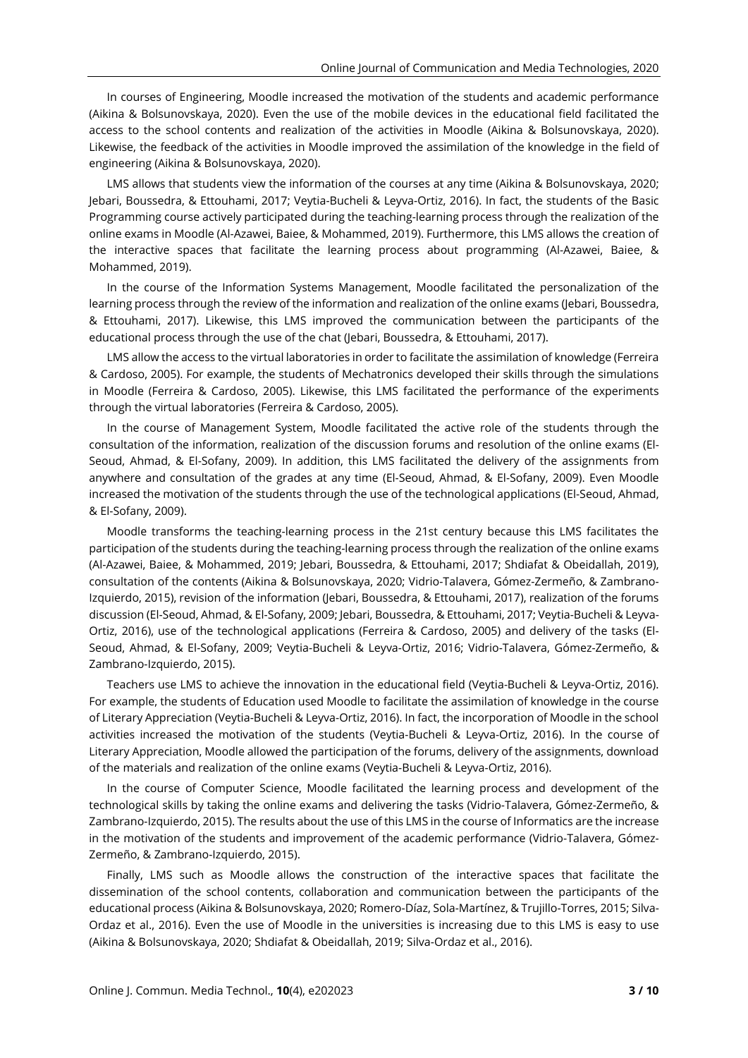In courses of Engineering, Moodle increased the motivation of the students and academic performance (Aikina & Bolsunovskaya, 2020). Even the use of the mobile devices in the educational field facilitated the access to the school contents and realization of the activities in Moodle (Aikina & Bolsunovskaya, 2020). Likewise, the feedback of the activities in Moodle improved the assimilation of the knowledge in the field of engineering (Aikina & Bolsunovskaya, 2020).

LMS allows that students view the information of the courses at any time (Aikina & Bolsunovskaya, 2020; Jebari, Boussedra, & Ettouhami, 2017; Veytia-Bucheli & Leyva-Ortiz, 2016). In fact, the students of the Basic Programming course actively participated during the teaching-learning process through the realization of the online exams in Moodle (Al-Azawei, Baiee, & Mohammed, 2019). Furthermore, this LMS allows the creation of the interactive spaces that facilitate the learning process about programming (Al-Azawei, Baiee, & Mohammed, 2019).

In the course of the Information Systems Management, Moodle facilitated the personalization of the learning process through the review of the information and realization of the online exams (Jebari, Boussedra, & Ettouhami, 2017). Likewise, this LMS improved the communication between the participants of the educational process through the use of the chat (Jebari, Boussedra, & Ettouhami, 2017).

LMS allow the access to the virtual laboratories in order to facilitate the assimilation of knowledge (Ferreira & Cardoso, 2005). For example, the students of Mechatronics developed their skills through the simulations in Moodle (Ferreira & Cardoso, 2005). Likewise, this LMS facilitated the performance of the experiments through the virtual laboratories (Ferreira & Cardoso, 2005).

In the course of Management System, Moodle facilitated the active role of the students through the consultation of the information, realization of the discussion forums and resolution of the online exams (El-Seoud, Ahmad, & El-Sofany, 2009). In addition, this LMS facilitated the delivery of the assignments from anywhere and consultation of the grades at any time (El-Seoud, Ahmad, & El-Sofany, 2009). Even Moodle increased the motivation of the students through the use of the technological applications (El-Seoud, Ahmad, & El-Sofany, 2009).

Moodle transforms the teaching-learning process in the 21st century because this LMS facilitates the participation of the students during the teaching-learning process through the realization of the online exams (Al-Azawei, Baiee, & Mohammed, 2019; Jebari, Boussedra, & Ettouhami, 2017; Shdiafat & Obeidallah, 2019), consultation of the contents (Aikina & Bolsunovskaya, 2020; Vidrio-Talavera, Gómez-Zermeño, & Zambrano-Izquierdo, 2015), revision of the information (Jebari, Boussedra, & Ettouhami, 2017), realization of the forums discussion (El-Seoud, Ahmad, & El-Sofany, 2009; Jebari, Boussedra, & Ettouhami, 2017; Veytia-Bucheli & Leyva-Ortiz, 2016), use of the technological applications (Ferreira & Cardoso, 2005) and delivery of the tasks (El-Seoud, Ahmad, & El-Sofany, 2009; Veytia-Bucheli & Leyva-Ortiz, 2016; Vidrio-Talavera, Gómez-Zermeño, & Zambrano-Izquierdo, 2015).

Teachers use LMS to achieve the innovation in the educational field (Veytia-Bucheli & Leyva-Ortiz, 2016). For example, the students of Education used Moodle to facilitate the assimilation of knowledge in the course of Literary Appreciation (Veytia-Bucheli & Leyva-Ortiz, 2016). In fact, the incorporation of Moodle in the school activities increased the motivation of the students (Veytia-Bucheli & Leyva-Ortiz, 2016). In the course of Literary Appreciation, Moodle allowed the participation of the forums, delivery of the assignments, download of the materials and realization of the online exams (Veytia-Bucheli & Leyva-Ortiz, 2016).

In the course of Computer Science, Moodle facilitated the learning process and development of the technological skills by taking the online exams and delivering the tasks (Vidrio-Talavera, Gómez-Zermeño, & Zambrano-Izquierdo, 2015). The results about the use of this LMS in the course of Informatics are the increase in the motivation of the students and improvement of the academic performance (Vidrio-Talavera, Gómez-Zermeño, & Zambrano-Izquierdo, 2015).

Finally, LMS such as Moodle allows the construction of the interactive spaces that facilitate the dissemination of the school contents, collaboration and communication between the participants of the educational process (Aikina & Bolsunovskaya, 2020; Romero-Díaz, Sola-Martínez, & Trujillo-Torres, 2015; Silva-Ordaz et al., 2016). Even the use of Moodle in the universities is increasing due to this LMS is easy to use (Aikina & Bolsunovskaya, 2020; Shdiafat & Obeidallah, 2019; Silva-Ordaz et al., 2016).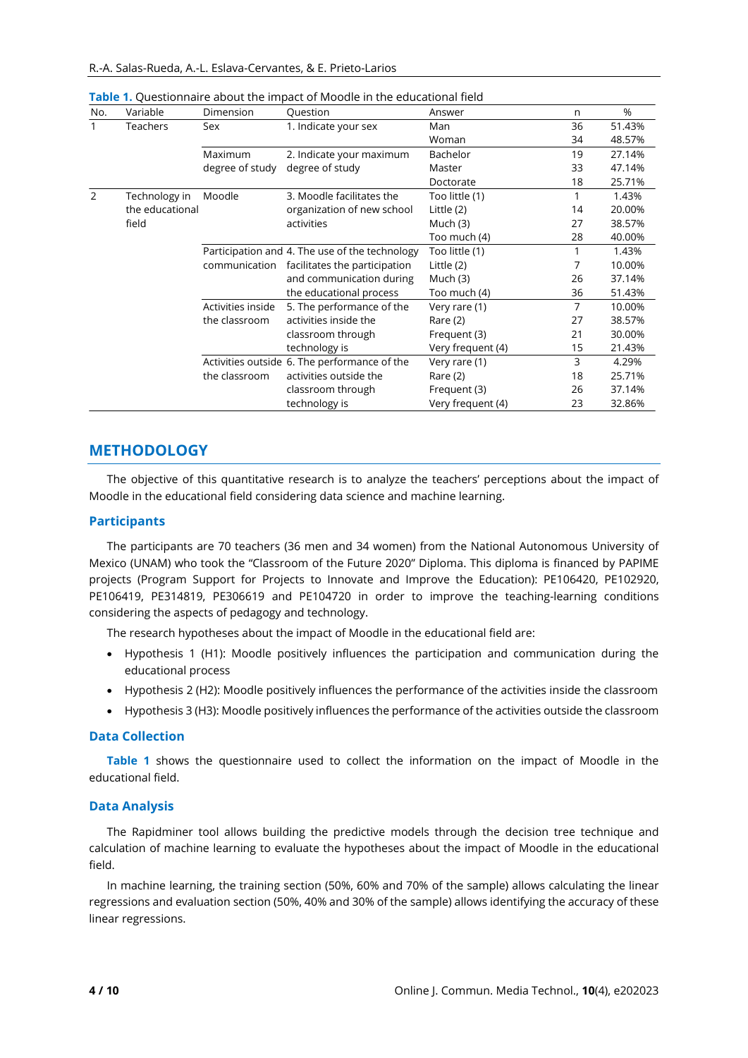| No.           | Variable        | Dimension         | Question                                       | Answer            | n  | %      |
|---------------|-----------------|-------------------|------------------------------------------------|-------------------|----|--------|
|               | Teachers        | Sex               | 1. Indicate your sex                           | Man               | 36 | 51.43% |
|               |                 |                   |                                                | Woman             | 34 | 48.57% |
|               |                 | Maximum           | 2. Indicate your maximum                       | Bachelor          | 19 | 27.14% |
|               |                 | degree of study   | degree of study                                | Master            | 33 | 47.14% |
|               |                 |                   |                                                | Doctorate         | 18 | 25.71% |
| $\mathcal{P}$ | Technology in   | Moodle            | 3. Moodle facilitates the                      | Too little (1)    |    | 1.43%  |
|               | the educational |                   | organization of new school                     | Little (2)        | 14 | 20.00% |
|               | field           |                   | activities                                     | Much $(3)$        | 27 | 38.57% |
|               |                 |                   |                                                | Too much (4)      | 28 | 40.00% |
|               |                 |                   | Participation and 4. The use of the technology | Too little (1)    |    | 1.43%  |
|               |                 | communication     | facilitates the participation                  | Little (2)        | 7  | 10.00% |
|               |                 |                   | and communication during                       | Much (3)          | 26 | 37.14% |
|               |                 |                   | the educational process                        | Too much (4)      | 36 | 51.43% |
|               |                 | Activities inside | 5. The performance of the                      | Very rare (1)     | 7  | 10.00% |
|               |                 | the classroom     | activities inside the                          | Rare (2)          | 27 | 38.57% |
|               |                 |                   | classroom through                              | Frequent (3)      | 21 | 30.00% |
|               |                 |                   | technology is                                  | Very frequent (4) | 15 | 21.43% |
|               |                 |                   | Activities outside 6. The performance of the   | Very rare (1)     | 3  | 4.29%  |
|               |                 | the classroom     | activities outside the                         | Rare (2)          | 18 | 25.71% |
|               |                 |                   | classroom through                              | Frequent (3)      | 26 | 37.14% |
|               |                 |                   | technology is                                  | Very frequent (4) | 23 | 32.86% |

**Table 1.** Questionnaire about the impact of Moodle in the educational field

# **METHODOLOGY**

The objective of this quantitative research is to analyze the teachers' perceptions about the impact of Moodle in the educational field considering data science and machine learning.

#### **Participants**

The participants are 70 teachers (36 men and 34 women) from the National Autonomous University of Mexico (UNAM) who took the "Classroom of the Future 2020" Diploma. This diploma is financed by PAPIME projects (Program Support for Projects to Innovate and Improve the Education): PE106420, PE102920, PE106419, PE314819, PE306619 and PE104720 in order to improve the teaching-learning conditions considering the aspects of pedagogy and technology.

The research hypotheses about the impact of Moodle in the educational field are:

- Hypothesis 1 (H1): Moodle positively influences the participation and communication during the educational process
- Hypothesis 2 (H2): Moodle positively influences the performance of the activities inside the classroom
- Hypothesis 3 (H3): Moodle positively influences the performance of the activities outside the classroom

#### **Data Collection**

**Table 1** shows the questionnaire used to collect the information on the impact of Moodle in the educational field.

#### **Data Analysis**

The Rapidminer tool allows building the predictive models through the decision tree technique and calculation of machine learning to evaluate the hypotheses about the impact of Moodle in the educational field.

In machine learning, the training section (50%, 60% and 70% of the sample) allows calculating the linear regressions and evaluation section (50%, 40% and 30% of the sample) allows identifying the accuracy of these linear regressions.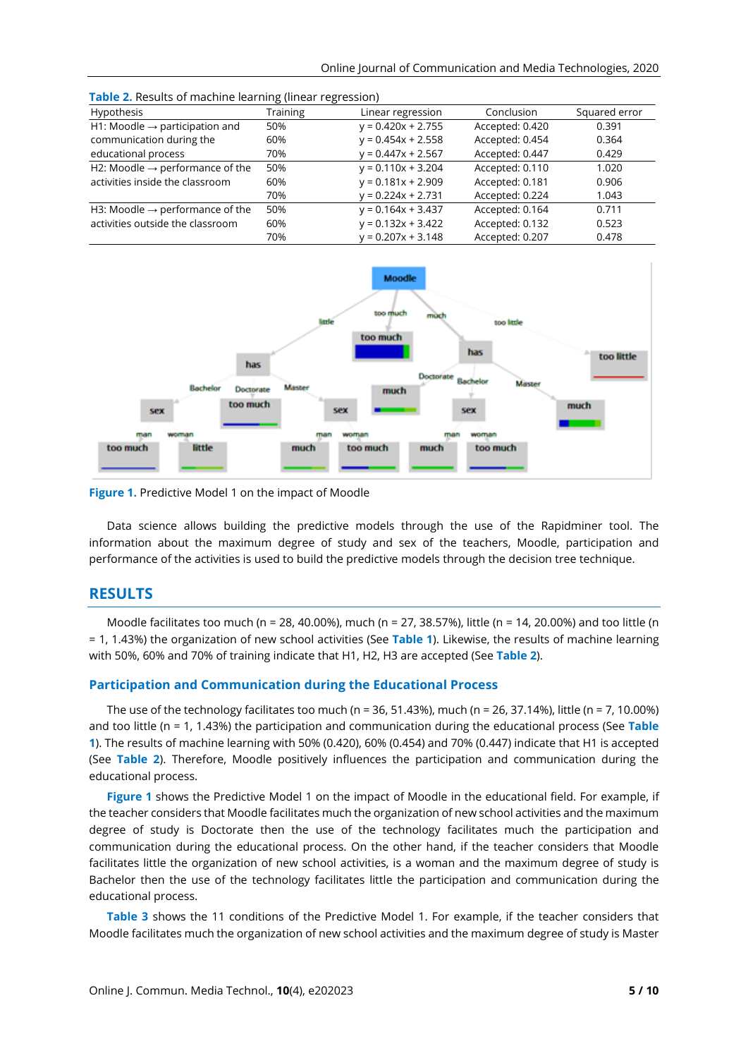| <b>Pable 2.</b> Results of machine real hing (initial regression) |                 |                      |                 |               |  |  |
|-------------------------------------------------------------------|-----------------|----------------------|-----------------|---------------|--|--|
| Hypothesis                                                        | <b>Training</b> | Linear regression    | Conclusion      | Squared error |  |  |
| H1: Moodle $\rightarrow$ participation and                        | 50%             | $y = 0.420x + 2.755$ | Accepted: 0.420 | 0.391         |  |  |
| communication during the                                          | 60%             | $y = 0.454x + 2.558$ | Accepted: 0.454 | 0.364         |  |  |
| educational process                                               | 70%             | $y = 0.447x + 2.567$ | Accepted: 0.447 | 0.429         |  |  |
| H2: Moodle $\rightarrow$ performance of the                       | 50%             | $y = 0.110x + 3.204$ | Accepted: 0.110 | 1.020         |  |  |
| activities inside the classroom                                   | 60%             | $y = 0.181x + 2.909$ | Accepted: 0.181 | 0.906         |  |  |
|                                                                   | 70%             | $y = 0.224x + 2.731$ | Accepted: 0.224 | 1.043         |  |  |
| H3: Moodle $\rightarrow$ performance of the                       | 50%             | $y = 0.164x + 3.437$ | Accepted: 0.164 | 0.711         |  |  |
| activities outside the classroom                                  | 60%             | $y = 0.132x + 3.422$ | Accepted: 0.132 | 0.523         |  |  |
|                                                                   | 70%             | $y = 0.207x + 3.148$ | Accepted: 0.207 | 0.478         |  |  |







Data science allows building the predictive models through the use of the Rapidminer tool. The information about the maximum degree of study and sex of the teachers, Moodle, participation and performance of the activities is used to build the predictive models through the decision tree technique.

## **RESULTS**

Moodle facilitates too much (n = 28, 40.00%), much (n = 27, 38.57%), little (n = 14, 20.00%) and too little (n = 1, 1.43%) the organization of new school activities (See **Table 1**). Likewise, the results of machine learning with 50%, 60% and 70% of training indicate that H1, H2, H3 are accepted (See **Table 2**).

#### **Participation and Communication during the Educational Process**

The use of the technology facilitates too much (n = 36, 51.43%), much (n = 26, 37.14%), little (n = 7, 10.00%) and too little (n = 1, 1.43%) the participation and communication during the educational process (See **Table 1**). The results of machine learning with 50% (0.420), 60% (0.454) and 70% (0.447) indicate that H1 is accepted (See **Table 2**). Therefore, Moodle positively influences the participation and communication during the educational process.

**Figure 1** shows the Predictive Model 1 on the impact of Moodle in the educational field. For example, if the teacher considers that Moodle facilitates much the organization of new school activities and the maximum degree of study is Doctorate then the use of the technology facilitates much the participation and communication during the educational process. On the other hand, if the teacher considers that Moodle facilitates little the organization of new school activities, is a woman and the maximum degree of study is Bachelor then the use of the technology facilitates little the participation and communication during the educational process.

**Table 3** shows the 11 conditions of the Predictive Model 1. For example, if the teacher considers that Moodle facilitates much the organization of new school activities and the maximum degree of study is Master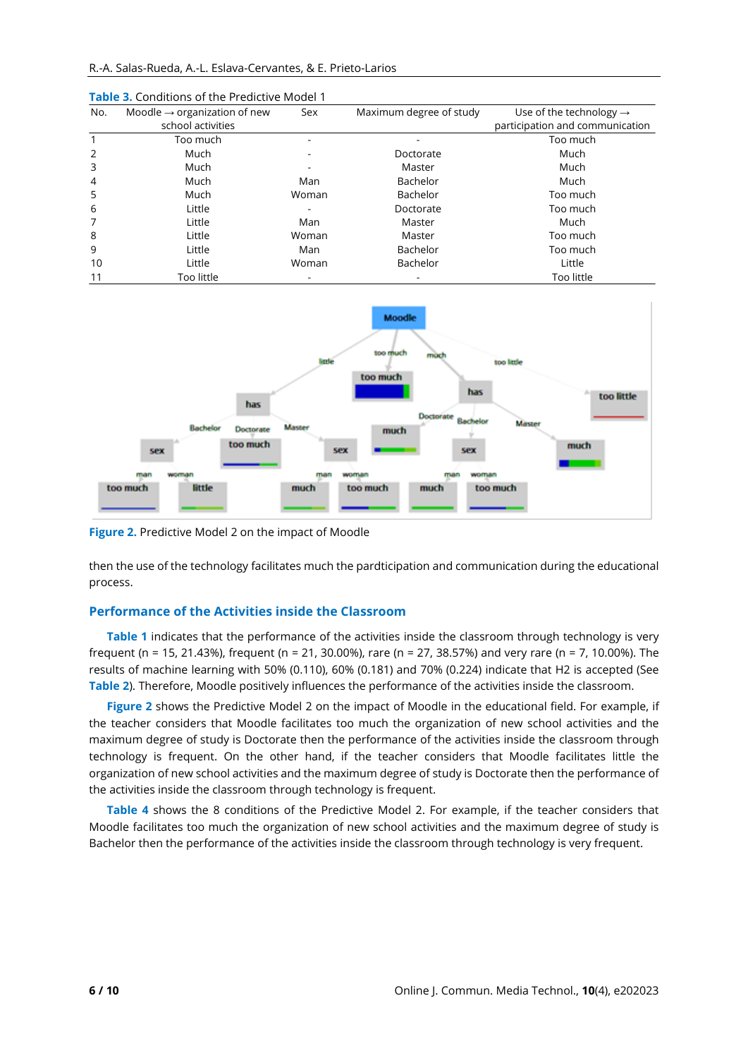| No.            | Moodle $\rightarrow$ organization of new | Sex   | Maximum degree of study | Use of the technology $\rightarrow$ |
|----------------|------------------------------------------|-------|-------------------------|-------------------------------------|
|                | school activities                        |       |                         | participation and communication     |
|                | Too much                                 |       |                         | Too much                            |
| 2              | Much                                     |       | Doctorate               | Much                                |
| 3              | Much                                     |       | Master                  | Much                                |
| $\overline{4}$ | Much                                     | Man   | Bachelor                | Much                                |
| 5              | Much                                     | Woman | Bachelor                | Too much                            |
| 6              | Little                                   |       | Doctorate               | Too much                            |
|                | Little                                   | Man   | Master                  | Much                                |
| 8              | Little                                   | Woman | Master                  | Too much                            |
| 9              | Little                                   | Man   | Bachelor                | Too much                            |
| 10             | Little                                   | Woman | <b>Bachelor</b>         | Little                              |
| 11             | Too little                               |       |                         | Too little                          |

**Table 3.** Conditions of the Predictive Model 1



**Figure 2.** Predictive Model 2 on the impact of Moodle

then the use of the technology facilitates much the pardticipation and communication during the educational process.

#### **Performance of the Activities inside the Classroom**

**Table 1** indicates that the performance of the activities inside the classroom through technology is very frequent (n = 15, 21.43%), frequent (n = 21, 30.00%), rare (n = 27, 38.57%) and very rare (n = 7, 10.00%). The results of machine learning with 50% (0.110), 60% (0.181) and 70% (0.224) indicate that H2 is accepted (See **Table 2**). Therefore, Moodle positively influences the performance of the activities inside the classroom.

**Figure 2** shows the Predictive Model 2 on the impact of Moodle in the educational field. For example, if the teacher considers that Moodle facilitates too much the organization of new school activities and the maximum degree of study is Doctorate then the performance of the activities inside the classroom through technology is frequent. On the other hand, if the teacher considers that Moodle facilitates little the organization of new school activities and the maximum degree of study is Doctorate then the performance of the activities inside the classroom through technology is frequent.

**Table 4** shows the 8 conditions of the Predictive Model 2. For example, if the teacher considers that Moodle facilitates too much the organization of new school activities and the maximum degree of study is Bachelor then the performance of the activities inside the classroom through technology is very frequent.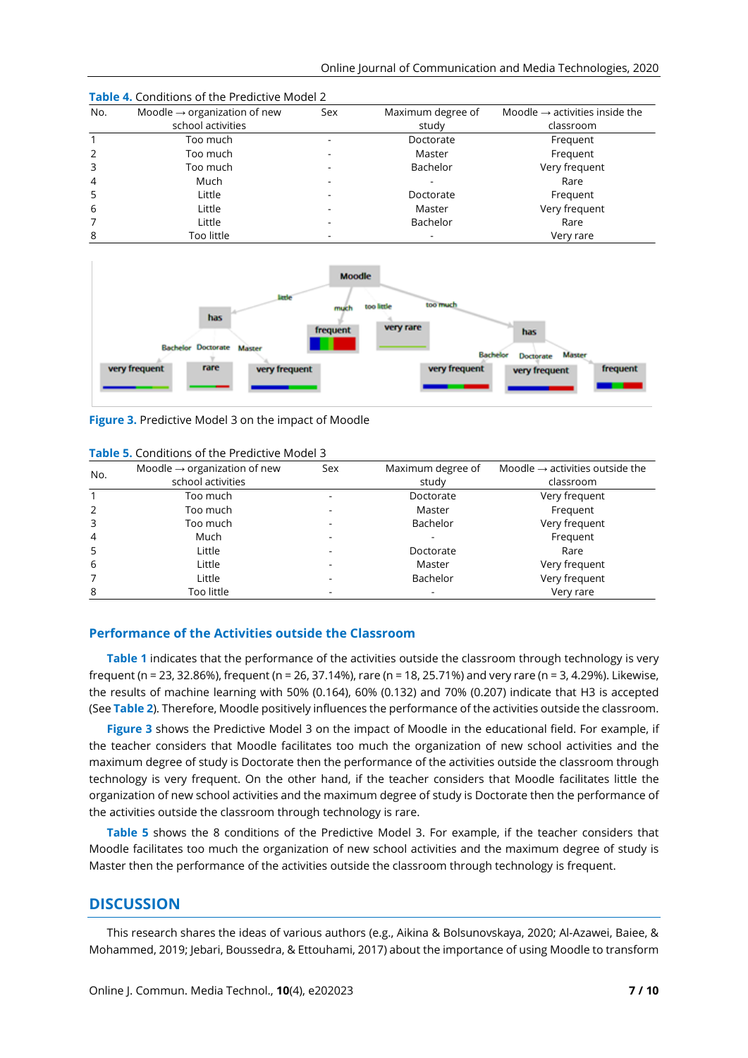| No. | Moodle $\rightarrow$ organization of new | Sex | Maximum degree of | Moodle $\rightarrow$ activities inside the |
|-----|------------------------------------------|-----|-------------------|--------------------------------------------|
|     | school activities                        |     | study             | classroom                                  |
|     | Too much                                 |     | Doctorate         | Frequent                                   |
| 2   | Too much                                 |     | Master            | Frequent                                   |
| 3   | Too much                                 |     | Bachelor          | Very frequent                              |
| 4   | Much                                     |     |                   | Rare                                       |
| 5   | Little                                   |     | Doctorate         | Frequent                                   |
| 6   | Little                                   |     | Master            | Very frequent                              |
|     | Little                                   |     | Bachelor          | Rare                                       |
| 8   | Too little                               |     |                   | Very rare                                  |

**Table 4.** Conditions of the Predictive Model 2



**Figure 3.** Predictive Model 3 on the impact of Moodle

| No.            | Moodle $\rightarrow$ organization of new | Sex | Maximum degree of | Moodle $\rightarrow$ activities outside the |
|----------------|------------------------------------------|-----|-------------------|---------------------------------------------|
|                | school activities                        |     | study             | classroom                                   |
|                | Too much                                 |     | Doctorate         | Very frequent                               |
| $\overline{2}$ | Too much                                 |     | Master            | Frequent                                    |
| 3              | Too much                                 |     | Bachelor          | Very frequent                               |
| $\overline{4}$ | Much                                     |     |                   | Frequent                                    |
| 5              | Little                                   |     | Doctorate         | Rare                                        |
| 6              | Little                                   |     | Master            | Very frequent                               |
| 7              | Little                                   |     | Bachelor          | Very frequent                               |
| 8              | Too little                               |     |                   | Very rare                                   |

**Table 5.** Conditions of the Predictive Model 3

### **Performance of the Activities outside the Classroom**

**Table 1** indicates that the performance of the activities outside the classroom through technology is very frequent (n = 23, 32.86%), frequent (n = 26, 37.14%), rare (n = 18, 25.71%) and very rare (n = 3, 4.29%). Likewise, the results of machine learning with 50% (0.164), 60% (0.132) and 70% (0.207) indicate that H3 is accepted (See **Table 2**). Therefore, Moodle positively influences the performance of the activities outside the classroom.

**Figure 3** shows the Predictive Model 3 on the impact of Moodle in the educational field. For example, if the teacher considers that Moodle facilitates too much the organization of new school activities and the maximum degree of study is Doctorate then the performance of the activities outside the classroom through technology is very frequent. On the other hand, if the teacher considers that Moodle facilitates little the organization of new school activities and the maximum degree of study is Doctorate then the performance of the activities outside the classroom through technology is rare.

**Table 5** shows the 8 conditions of the Predictive Model 3. For example, if the teacher considers that Moodle facilitates too much the organization of new school activities and the maximum degree of study is Master then the performance of the activities outside the classroom through technology is frequent.

## **DISCUSSION**

This research shares the ideas of various authors (e.g., Aikina & Bolsunovskaya, 2020; Al-Azawei, Baiee, & Mohammed, 2019; Jebari, Boussedra, & Ettouhami, 2017) about the importance of using Moodle to transform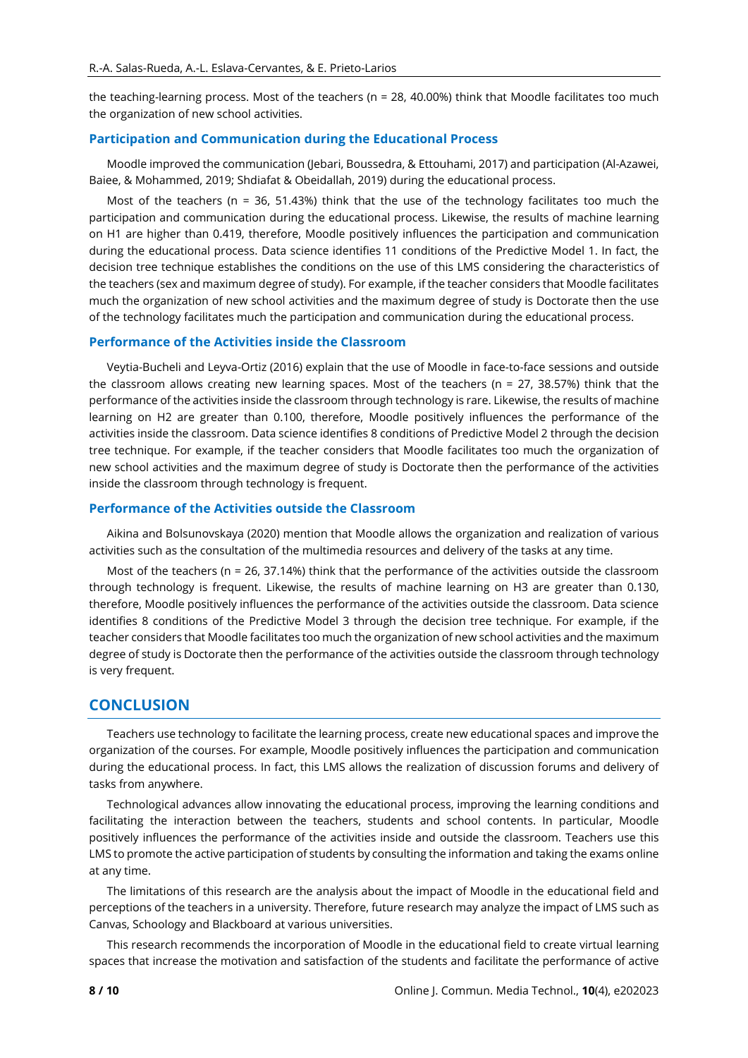the teaching-learning process. Most of the teachers (n = 28, 40.00%) think that Moodle facilitates too much the organization of new school activities.

#### **Participation and Communication during the Educational Process**

Moodle improved the communication (Jebari, Boussedra, & Ettouhami, 2017) and participation (Al-Azawei, Baiee, & Mohammed, 2019; Shdiafat & Obeidallah, 2019) during the educational process.

Most of the teachers ( $n = 36$ , 51.43%) think that the use of the technology facilitates too much the participation and communication during the educational process. Likewise, the results of machine learning on H1 are higher than 0.419, therefore, Moodle positively influences the participation and communication during the educational process. Data science identifies 11 conditions of the Predictive Model 1. In fact, the decision tree technique establishes the conditions on the use of this LMS considering the characteristics of the teachers (sex and maximum degree of study). For example, if the teacher considers that Moodle facilitates much the organization of new school activities and the maximum degree of study is Doctorate then the use of the technology facilitates much the participation and communication during the educational process.

#### **Performance of the Activities inside the Classroom**

Veytia-Bucheli and Leyva-Ortiz (2016) explain that the use of Moodle in face-to-face sessions and outside the classroom allows creating new learning spaces. Most of the teachers (n = 27, 38.57%) think that the performance of the activities inside the classroom through technology is rare. Likewise, the results of machine learning on H2 are greater than 0.100, therefore, Moodle positively influences the performance of the activities inside the classroom. Data science identifies 8 conditions of Predictive Model 2 through the decision tree technique. For example, if the teacher considers that Moodle facilitates too much the organization of new school activities and the maximum degree of study is Doctorate then the performance of the activities inside the classroom through technology is frequent.

#### **Performance of the Activities outside the Classroom**

Aikina and Bolsunovskaya (2020) mention that Moodle allows the organization and realization of various activities such as the consultation of the multimedia resources and delivery of the tasks at any time.

Most of the teachers (n = 26, 37.14%) think that the performance of the activities outside the classroom through technology is frequent. Likewise, the results of machine learning on H3 are greater than 0.130, therefore, Moodle positively influences the performance of the activities outside the classroom. Data science identifies 8 conditions of the Predictive Model 3 through the decision tree technique. For example, if the teacher considers that Moodle facilitates too much the organization of new school activities and the maximum degree of study is Doctorate then the performance of the activities outside the classroom through technology is very frequent.

#### **CONCLUSION**

Teachers use technology to facilitate the learning process, create new educational spaces and improve the organization of the courses. For example, Moodle positively influences the participation and communication during the educational process. In fact, this LMS allows the realization of discussion forums and delivery of tasks from anywhere.

Technological advances allow innovating the educational process, improving the learning conditions and facilitating the interaction between the teachers, students and school contents. In particular, Moodle positively influences the performance of the activities inside and outside the classroom. Teachers use this LMS to promote the active participation of students by consulting the information and taking the exams online at any time.

The limitations of this research are the analysis about the impact of Moodle in the educational field and perceptions of the teachers in a university. Therefore, future research may analyze the impact of LMS such as Canvas, Schoology and Blackboard at various universities.

This research recommends the incorporation of Moodle in the educational field to create virtual learning spaces that increase the motivation and satisfaction of the students and facilitate the performance of active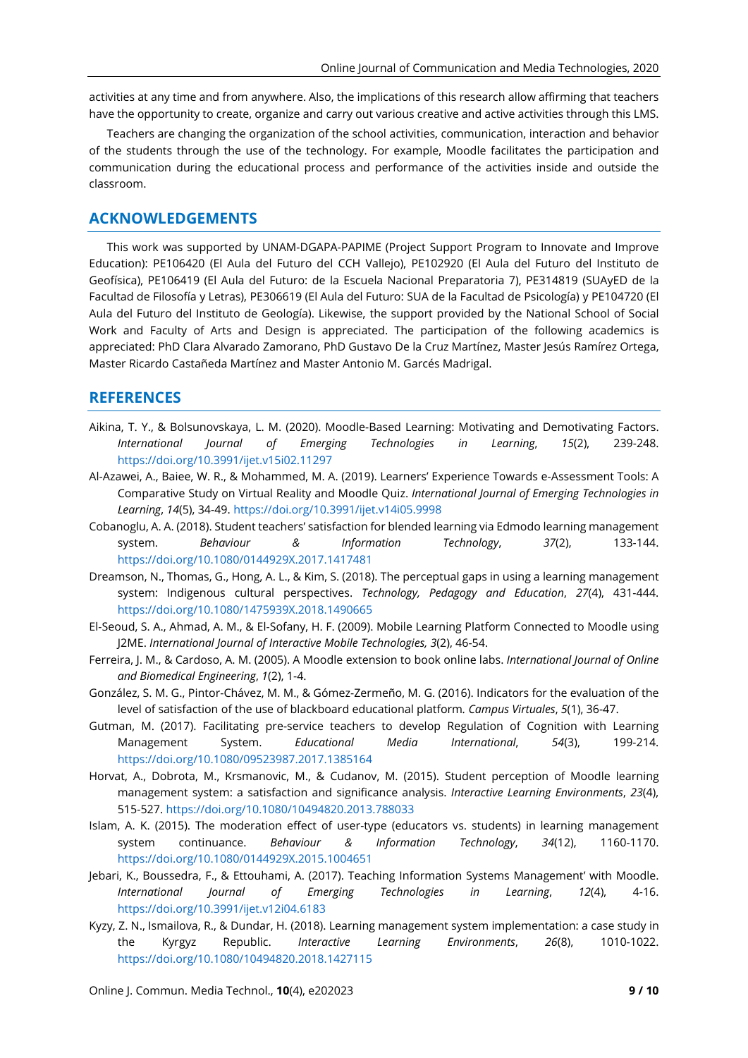activities at any time and from anywhere. Also, the implications of this research allow affirming that teachers have the opportunity to create, organize and carry out various creative and active activities through this LMS.

Teachers are changing the organization of the school activities, communication, interaction and behavior of the students through the use of the technology. For example, Moodle facilitates the participation and communication during the educational process and performance of the activities inside and outside the classroom.

# **ACKNOWLEDGEMENTS**

This work was supported by UNAM-DGAPA-PAPIME (Project Support Program to Innovate and Improve Education): PE106420 (El Aula del Futuro del CCH Vallejo), PE102920 (El Aula del Futuro del Instituto de Geofísica), PE106419 (El Aula del Futuro: de la Escuela Nacional Preparatoria 7), PE314819 (SUAyED de la Facultad de Filosofía y Letras), PE306619 (El Aula del Futuro: SUA de la Facultad de Psicología) y PE104720 (El Aula del Futuro del Instituto de Geología). Likewise, the support provided by the National School of Social Work and Faculty of Arts and Design is appreciated. The participation of the following academics is appreciated: PhD Clara Alvarado Zamorano, PhD Gustavo De la Cruz Martínez, Master Jesús Ramírez Ortega, Master Ricardo Castañeda Martínez and Master Antonio M. Garcés Madrigal.

## **REFERENCES**

- Aikina, T. Y., & Bolsunovskaya, L. M. (2020). Moodle-Based Learning: Motivating and Demotivating Factors. *International Journal of Emerging Technologies in Learning*, *15*(2), 239-248. <https://doi.org/10.3991/ijet.v15i02.11297>
- Al-Azawei, A., Baiee, W. R., & Mohammed, M. A. (2019). Learners' Experience Towards e-Assessment Tools: A Comparative Study on Virtual Reality and Moodle Quiz. *International Journal of Emerging Technologies in Learning*, *14*(5), 34-49. <https://doi.org/10.3991/ijet.v14i05.9998>
- Cobanoglu, A. A. (2018). Student teachers' satisfaction for blended learning via Edmodo learning management system. *Behaviour & Information Technology*, *37*(2), 133-144. <https://doi.org/10.1080/0144929X.2017.1417481>
- Dreamson, N., Thomas, G., Hong, A. L., & Kim, S. (2018). The perceptual gaps in using a learning management system: Indigenous cultural perspectives. *Technology, Pedagogy and Education*, *27*(4), 431-444. <https://doi.org/10.1080/1475939X.2018.1490665>
- El-Seoud, S. A., Ahmad, A. M., & El-Sofany, H. F. (2009). Mobile Learning Platform Connected to Moodle using J2ME. *International Journal of Interactive Mobile Technologies, 3*(2), 46-54.
- Ferreira, J. M., & Cardoso, A. M. (2005). A Moodle extension to book online labs. *International Journal of Online and Biomedical Engineering*, *1*(2), 1-4.
- González, S. M. G., Pintor-Chávez, M. M., & Gómez-Zermeño, M. G. (2016). Indicators for the evaluation of the level of satisfaction of the use of blackboard educational platform*. Campus Virtuales*, *5*(1), 36-47.
- Gutman, M. (2017). Facilitating pre-service teachers to develop Regulation of Cognition with Learning Management System. *Educational Media International*, *54*(3), 199-214. <https://doi.org/10.1080/09523987.2017.1385164>
- Horvat, A., Dobrota, M., Krsmanovic, M., & Cudanov, M. (2015). Student perception of Moodle learning management system: a satisfaction and significance analysis. *Interactive Learning Environments*, *23*(4), 515-527. <https://doi.org/10.1080/10494820.2013.788033>
- Islam, A. K. (2015). The moderation effect of user-type (educators vs. students) in learning management system continuance. *Behaviour & Information Technology*, *34*(12), 1160-1170. <https://doi.org/10.1080/0144929X.2015.1004651>
- Jebari, K., Boussedra, F., & Ettouhami, A. (2017). Teaching Information Systems Management' with Moodle. *International Journal of Emerging Technologies in Learning*, *12*(4), 4-16. <https://doi.org/10.3991/ijet.v12i04.6183>
- Kyzy, Z. N., Ismailova, R., & Dundar, H. (2018). Learning management system implementation: a case study in the Kyrgyz Republic. *Interactive Learning Environments*, *26*(8), 1010-1022. <https://doi.org/10.1080/10494820.2018.1427115>